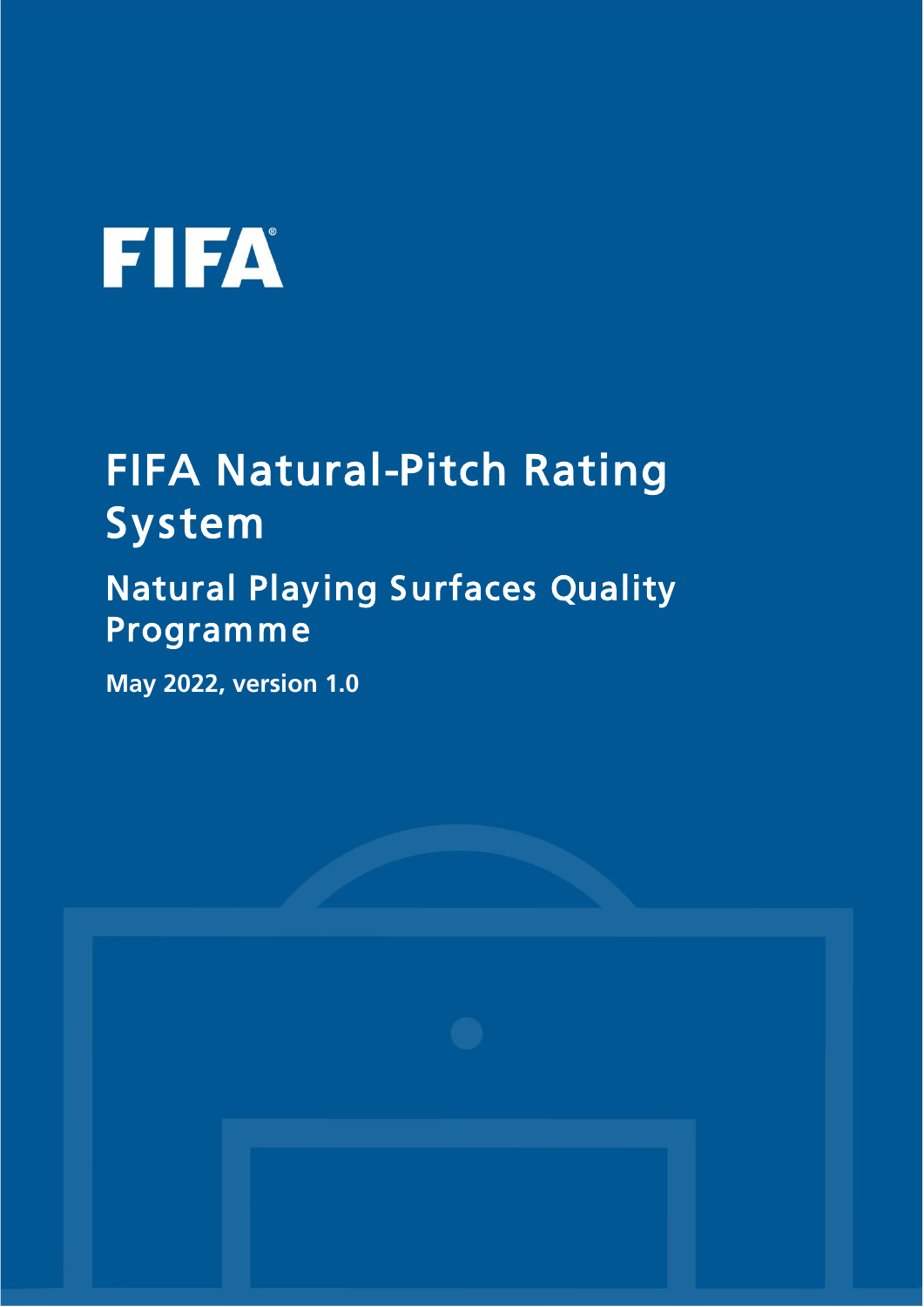# **FIFA**

## FIFA Natural-Pitch Rating System

## Natural Playing Surfaces Quality Programme

**May 2022, version 1.0**

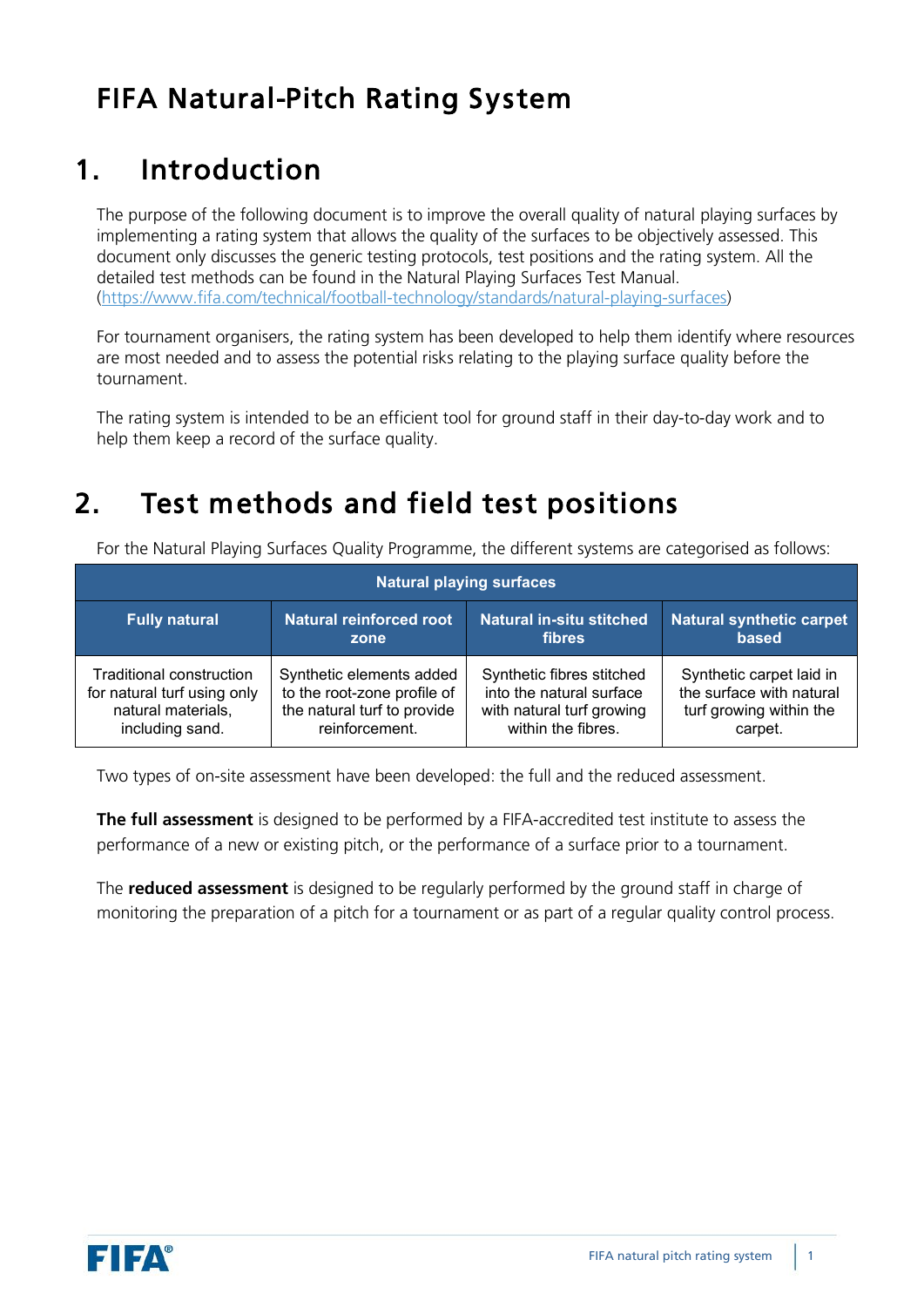#### FIFA Natural-Pitch Rating System

#### 1. Introduction

The purpose of the following document is to improve the overall quality of natural playing surfaces by implementing a rating system that allows the quality of the surfaces to be objectively assessed. This document only discusses the generic testing protocols, test positions and the rating system. All the detailed test methods can be found in the Natural Playing Surfaces Test Manual. [\(https://www.fifa.com/technical/football-technology/standards/natural-playing-surfaces\)](about:blank)

For tournament organisers, the rating system has been developed to help them identify where resources are most needed and to assess the potential risks relating to the playing surface quality before the tournament.

The rating system is intended to be an efficient tool for ground staff in their day-to-day work and to help them keep a record of the surface quality.

#### 2. Test methods and field test positions

For the Natural Playing Surfaces Quality Programme, the different systems are categorised as follows:

|                             |                                | <b>Natural playing surfaces</b> |                                 |
|-----------------------------|--------------------------------|---------------------------------|---------------------------------|
| <b>Fully natural</b>        | <b>Natural reinforced root</b> | <b>Natural in-situ stitched</b> | <b>Natural synthetic carpet</b> |
|                             | zone                           | <b>fibres</b>                   | based                           |
| Traditional construction    | Synthetic elements added       | Synthetic fibres stitched       | Synthetic carpet laid in        |
| for natural turf using only | to the root-zone profile of    | into the natural surface        | the surface with natural        |
| natural materials,          | the natural turf to provide    | with natural turf growing       | turf growing within the         |
| including sand.             | reinforcement.                 | within the fibres.              | carpet.                         |

Two types of on-site assessment have been developed: the full and the reduced assessment.

**The full assessment** is designed to be performed by a FIFA-accredited test institute to assess the performance of a new or existing pitch, or the performance of a surface prior to a tournament.

The **reduced assessment** is designed to be regularly performed by the ground staff in charge of monitoring the preparation of a pitch for a tournament or as part of a regular quality control process.

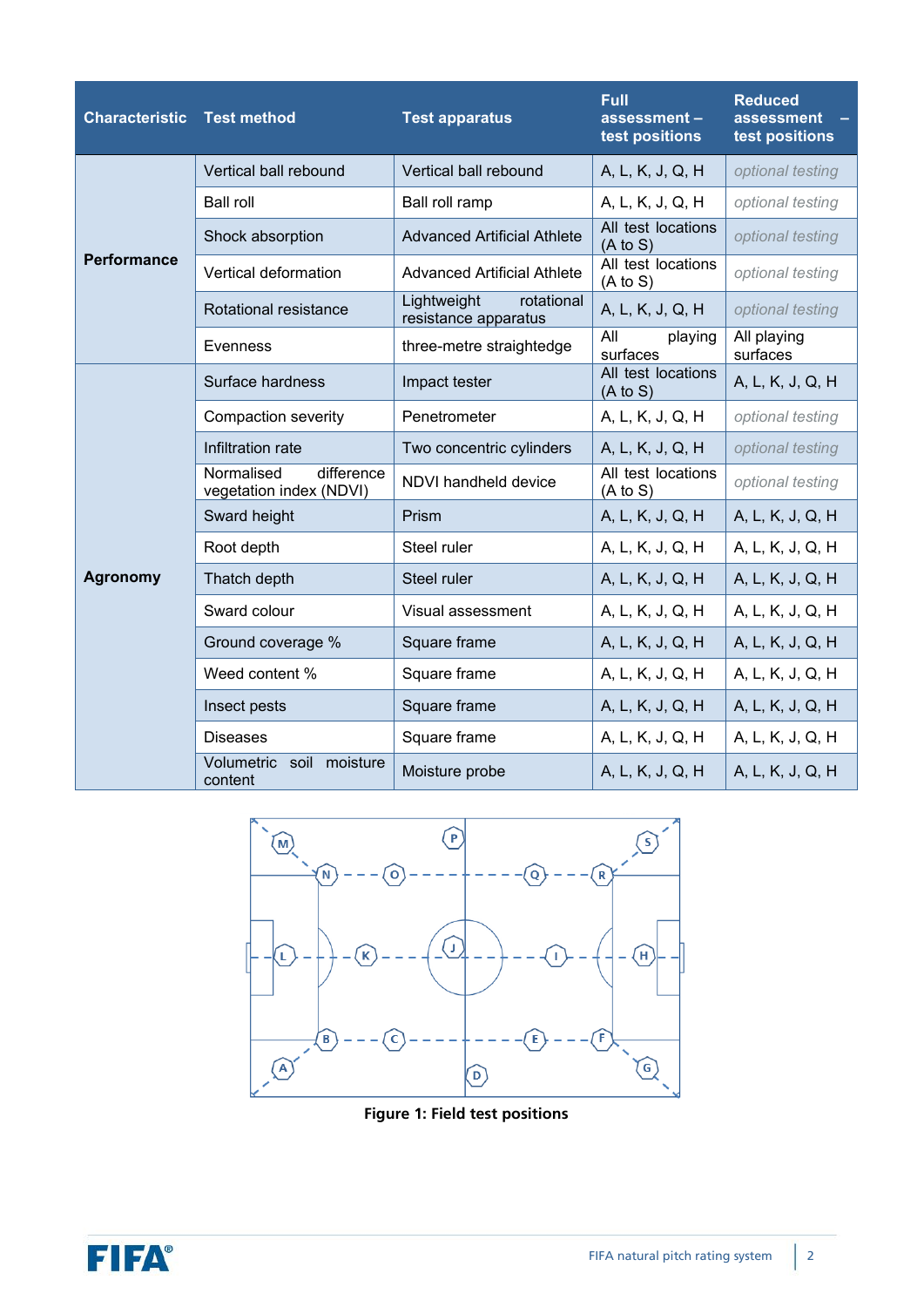| <b>Characteristic Test method</b>     |                                                     | <b>Test apparatus</b>                             | <b>Full</b><br>assessment-<br>test positions | <b>Reduced</b><br>assessment<br>test positions |
|---------------------------------------|-----------------------------------------------------|---------------------------------------------------|----------------------------------------------|------------------------------------------------|
|                                       | Vertical ball rebound                               | Vertical ball rebound                             | A, L, K, J, Q, H                             | optional testing                               |
| <b>Performance</b><br><b>Agronomy</b> | <b>Ball roll</b>                                    | Ball roll ramp                                    | A, L, K, J, Q, H                             | optional testing                               |
|                                       | Shock absorption                                    | <b>Advanced Artificial Athlete</b>                | All test locations<br>$(A \text{ to } S)$    | optional testing                               |
|                                       | Vertical deformation                                | <b>Advanced Artificial Athlete</b>                | All test locations<br>$(A \text{ to } S)$    | optional testing                               |
|                                       | Rotational resistance                               | Lightweight<br>rotational<br>resistance apparatus | A, L, K, J, Q, H                             | optional testing                               |
|                                       | Evenness                                            | three-metre straightedge                          | All<br>playing<br>surfaces                   | All playing<br>surfaces                        |
|                                       | Surface hardness                                    | Impact tester                                     | All test locations<br>$(A \text{ to } S)$    | A, L, K, J, Q, H                               |
|                                       | Compaction severity                                 | Penetrometer                                      | A, L, K, J, Q, H                             | optional testing                               |
|                                       | Infiltration rate                                   | Two concentric cylinders                          | A, L, K, J, Q, H                             | optional testing                               |
|                                       | difference<br>Normalised<br>vegetation index (NDVI) | NDVI handheld device                              | All test locations<br>$(A \text{ to } S)$    | optional testing                               |
|                                       | Sward height                                        | Prism                                             | A, L, K, J, Q, H                             | A, L, K, J, Q, H                               |
|                                       | Root depth                                          | Steel ruler                                       | A, L, K, J, Q, H                             | A, L, K, J, Q, H                               |
|                                       | Thatch depth                                        | Steel ruler                                       | A, L, K, J, Q, H                             | A, L, K, J, Q, H                               |
|                                       | Sward colour                                        | Visual assessment                                 | A, L, K, J, Q, H                             | A, L, K, J, Q, H                               |
|                                       | Ground coverage %                                   | Square frame                                      | A, L, K, J, Q, H                             | A, L, K, J, Q, H                               |
|                                       | Weed content %                                      | Square frame                                      | A, L, K, J, Q, H                             | A, L, K, J, Q, H                               |
|                                       | Insect pests                                        | Square frame                                      | A, L, K, J, Q, H                             | A, L, K, J, Q, H                               |
|                                       | <b>Diseases</b>                                     | Square frame                                      | A, L, K, J, Q, H                             | A, L, K, J, Q, H                               |
|                                       | Volumetric<br>soil<br>moisture<br>content           | Moisture probe                                    | A, L, K, J, Q, H                             | A, L, K, J, Q, H                               |



**Figure 1: Field test positions**

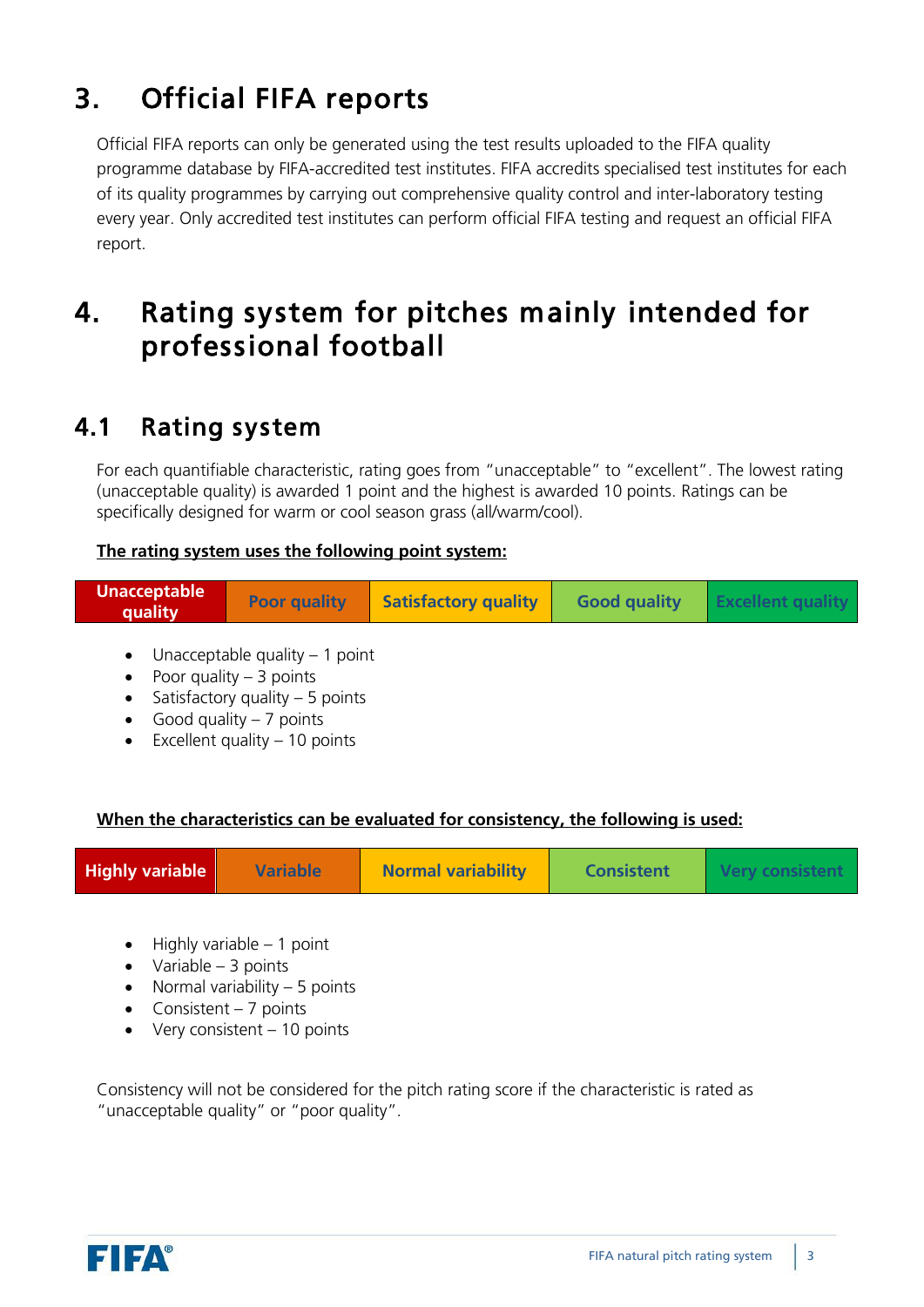### 3. Official FIFA reports

Official FIFA reports can only be generated using the test results uploaded to the FIFA quality programme database by FIFA-accredited test institutes. FIFA accredits specialised test institutes for each of its quality programmes by carrying out comprehensive quality control and inter-laboratory testing every year. Only accredited test institutes can perform official FIFA testing and request an official FIFA report.

#### 4. Rating system for pitches mainly intended for professional football

#### 4.1 Rating system

For each quantifiable characteristic, rating goes from "unacceptable" to "excellent". The lowest rating (unacceptable quality) is awarded 1 point and the highest is awarded 10 points. Ratings can be specifically designed for warm or cool season grass (all/warm/cool).

#### **The rating system uses the following point system:**

| <b>Unacceptable</b><br>quality | <b>Poor quality   Satisfactory quality</b> | <b>Good quality</b> | <b>EXCEILED</b> |
|--------------------------------|--------------------------------------------|---------------------|-----------------|
|--------------------------------|--------------------------------------------|---------------------|-----------------|

- Unacceptable quality  $-1$  point
- Poor quality  $-3$  points
- Satisfactory quality  $-5$  points
- Good quality  $-7$  points
- Excellent quality  $-10$  points

#### **When the characteristics can be evaluated for consistency, the following is used:**

|--|

- $\bullet$  Highly variable 1 point
- $\bullet$  Variable 3 points
- Normal variability  $-5$  points
- Consistent  $-7$  points
- $\bullet$  Very consistent 10 points

Consistency will not be considered for the pitch rating score if the characteristic is rated as "unacceptable quality" or "poor quality".

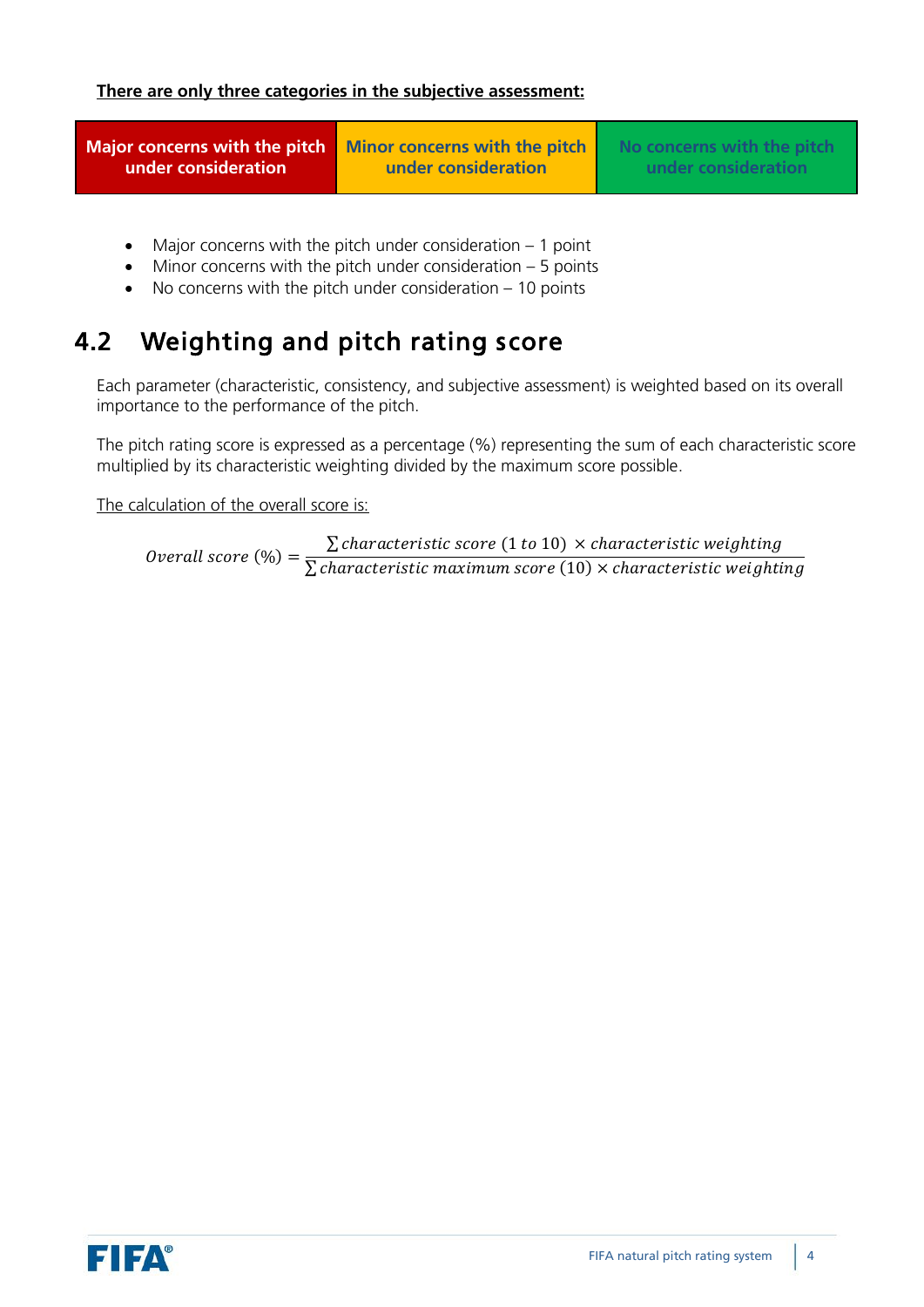**Major concerns with the pitch under consideration**

**Minor concerns with the pitch under consideration**

**No concerns with the pitch under consideration**

- Major concerns with the pitch under consideration  $-1$  point
- Minor concerns with the pitch under consideration  $-5$  points
- No concerns with the pitch under consideration  $-10$  points

#### 4.2 Weighting and pitch rating score

Each parameter (characteristic, consistency, and subjective assessment) is weighted based on its overall importance to the performance of the pitch.

The pitch rating score is expressed as a percentage (%) representing the sum of each characteristic score multiplied by its characteristic weighting divided by the maximum score possible.

The calculation of the overall score is:

Overall score  $(\%) =$  $\Sigma$  characteristic score (1 to 10)  $\times$  characteristic weighting  $\Sigma$  characteristic maximum score  $(10)$   $\times$  characteristic weighting

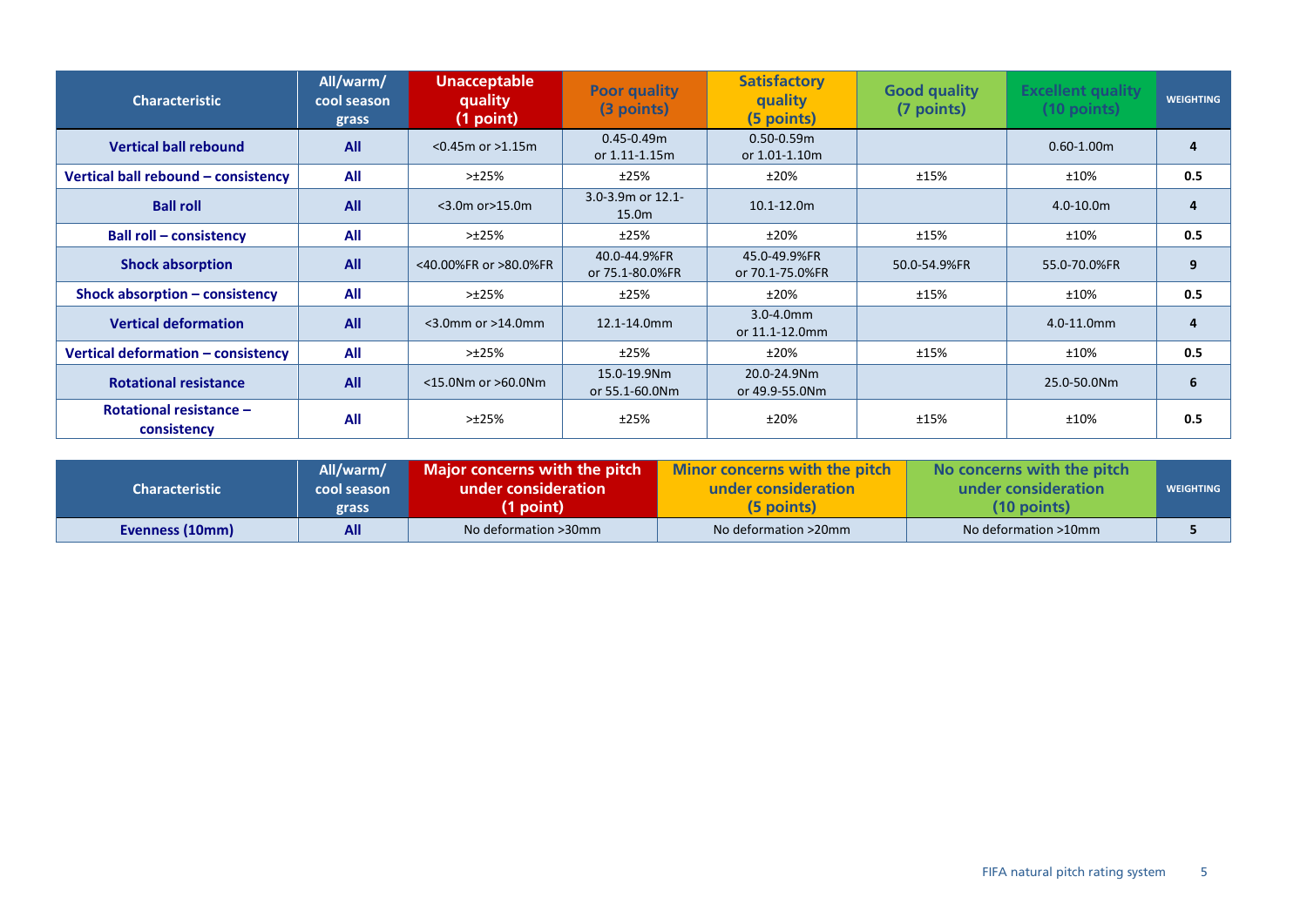| <b>Characteristic</b>                         | All/warm/<br>cool season<br>grass | <b>Unacceptable</b><br>quality<br>(1 point) | <b>Poor quality</b><br>(3 points)  | <b>Satisfactory</b><br>quality<br>(5 points) | <b>Good quality</b><br>(7 points) | <b>Excellent quality</b><br>$(10$ points) | <b>WEIGHTING</b> |
|-----------------------------------------------|-----------------------------------|---------------------------------------------|------------------------------------|----------------------------------------------|-----------------------------------|-------------------------------------------|------------------|
| <b>Vertical ball rebound</b>                  | <b>All</b>                        | $<$ 0.45m or $>$ 1.15m                      | $0.45 - 0.49$ m<br>or 1.11-1.15m   | $0.50 - 0.59$ m<br>or 1.01-1.10m             |                                   | $0.60 - 1.00$ m                           | 4                |
| Vertical ball rebound - consistency           | All                               | >±25%                                       | ±25%                               | ±20%                                         | ±15%                              | ±10%                                      | 0.5              |
| <b>Ball roll</b>                              | All                               | $<$ 3.0m or $>$ 15.0m                       | $3.0 - 3.9$ m or $12.1 -$<br>15.0m | $10.1 - 12.0m$                               |                                   | $4.0 - 10.0m$                             | 4                |
| <b>Ball roll - consistency</b>                | All                               | >125%                                       | ±25%                               | ±20%                                         | ±15%                              | ±10%                                      | 0.5              |
| <b>Shock absorption</b>                       | All                               | <40.00%FR or >80.0%FR                       | 40.0-44.9%FR<br>or 75.1-80.0%FR    | 45.0-49.9%FR<br>or 70.1-75.0%FR              | 50.0-54.9%FR                      | 55.0-70.0%FR                              | 9                |
| Shock absorption - consistency                | All                               | >±25%                                       | ±25%                               | ±20%                                         | ±15%                              | ±10%                                      | 0.5              |
| <b>Vertical deformation</b>                   | All                               | $<$ 3.0mm or $>$ 14.0mm                     | 12.1-14.0mm                        | $3.0 - 4.0$ mm<br>or 11.1-12.0mm             |                                   | 4.0-11.0mm                                | 4                |
| Vertical deformation - consistency            | All                               | >±25%                                       | ±25%                               | ±20%                                         | ±15%                              | ±10%                                      | 0.5              |
| <b>Rotational resistance</b>                  | All                               | $<$ 15.0Nm or $>$ 60.0Nm                    | 15.0-19.9Nm<br>or 55.1-60.0Nm      | 20.0-24.9Nm<br>or 49.9-55.0Nm                |                                   | 25.0-50.0Nm                               | 6                |
| <b>Rotational resistance -</b><br>consistency | All                               | >±25%                                       | ±25%                               | ±20%                                         | ±15%                              | ±10%                                      | 0.5              |

|                       | All/warm/   | Major concerns with the pitch $\mathbb I$ | Minor concerns with the pitch | No concerns with the pitch |                  |
|-----------------------|-------------|-------------------------------------------|-------------------------------|----------------------------|------------------|
| <b>Characteristic</b> | cool season | under consideration                       | under consideration           | under consideration        | <b>WEIGHTING</b> |
|                       | grass       | (1 point)                                 | (5 points)                    | $(10$ points)              |                  |
| Evenness (10mm)       | All         | No deformation >30mm                      | No deformation >20mm          | No deformation >10mm       |                  |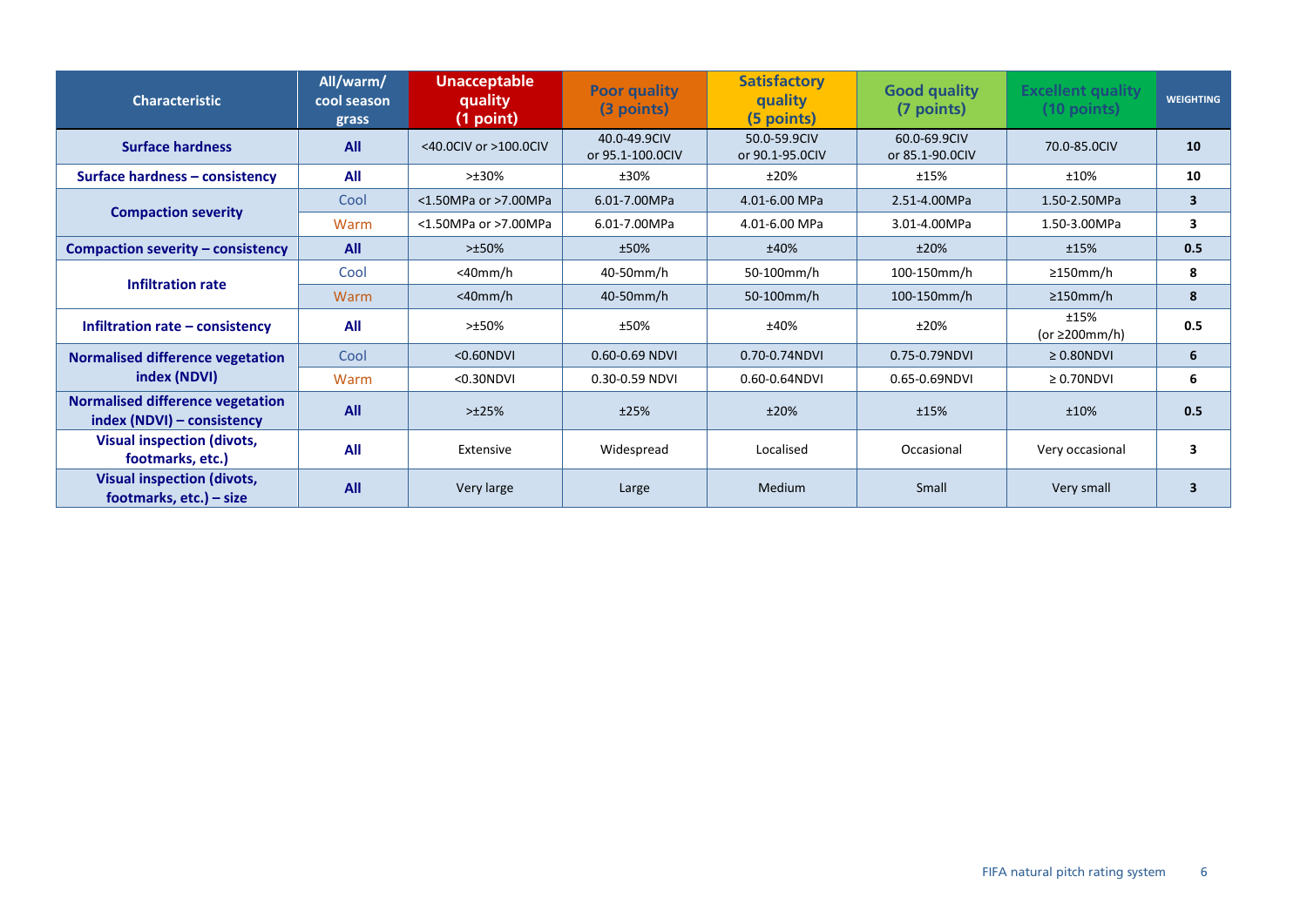| <b>Characteristic</b>                                                 | All/warm/<br>cool season<br>grass | <b>Unacceptable</b><br>quality<br>(1 point) | <b>Poor quality</b><br>(3 points) | <b>Satisfactory</b><br>quality<br>(5 points) | <b>Good quality</b><br>(7 points) | <b>Excellent quality</b><br>$(10$ points) | <b>WEIGHTING</b>        |
|-----------------------------------------------------------------------|-----------------------------------|---------------------------------------------|-----------------------------------|----------------------------------------------|-----------------------------------|-------------------------------------------|-------------------------|
| <b>Surface hardness</b>                                               | All                               | <40.0CIV or >100.0CIV                       | 40.0-49.9CIV<br>or 95.1-100.0CIV  | 50.0-59.9CIV<br>or 90.1-95.0CIV              | 60.0-69.9CIV<br>or 85.1-90.0CIV   | 70.0-85.0CIV                              | 10                      |
| Surface hardness - consistency                                        | All                               | $>±30\%$                                    | ±30%                              | ±20%                                         | ±15%                              | ±10%                                      | 10                      |
|                                                                       | Cool                              | <1.50MPa or >7.00MPa                        | 6.01-7.00MPa                      | 4.01-6.00 MPa                                | 2.51-4.00MPa                      | 1.50-2.50MPa                              | $\overline{\mathbf{3}}$ |
| <b>Compaction severity</b>                                            | Warm                              | <1.50MPa or >7.00MPa                        | 6.01-7.00MPa                      | 4.01-6.00 MPa                                | 3.01-4.00MPa                      | 1.50-3.00MPa                              | 3                       |
| Compaction severity – consistency                                     | All                               | $> \pm 50\%$                                | ±50%                              | ±40%                                         | ±20%                              | ±15%                                      | 0.5                     |
| <b>Infiltration rate</b>                                              | Cool                              | $<$ 40mm/h                                  | 40-50mm/h                         | 50-100mm/h                                   | 100-150mm/h                       | $\geq$ 150mm/h                            | 8                       |
|                                                                       | Warm                              | $<$ 40mm/h                                  | 40-50mm/h                         | 50-100mm/h                                   | 100-150mm/h                       | $\geq$ 150mm/h                            | 8                       |
| Infiltration rate - consistency                                       | All                               | $>150\%$                                    | ±50%                              | ±40%                                         | ±20%                              | ±15%<br>(or $\geq$ 200mm/h)               | 0.5                     |
| <b>Normalised difference vegetation</b>                               | Cool                              | $<0.60$ NDVI                                | 0.60-0.69 NDVI                    | 0.70-0.74NDVI                                | 0.75-0.79NDVI                     | $\geq 0.80$ NDVI                          | 6                       |
| index (NDVI)                                                          | Warm                              | $<$ 0.30NDVI                                | 0.30-0.59 NDVI                    | 0.60-0.64NDVI                                | 0.65-0.69NDVI                     | $\geq 0.70$ NDVI                          | 6                       |
| <b>Normalised difference vegetation</b><br>index (NDVI) - consistency | All                               | $>125%$                                     | ±25%                              | ±20%                                         | ±15%                              | ±10%                                      | 0.5                     |
| <b>Visual inspection (divots,</b><br>footmarks, etc.)                 | All                               | Extensive                                   | Widespread                        | Localised                                    | Occasional                        | Very occasional                           | 3                       |
| <b>Visual inspection (divots,</b><br>footmarks, etc.) – size          | All                               | Very large                                  | Large                             | Medium                                       | Small                             | Very small                                | 3                       |